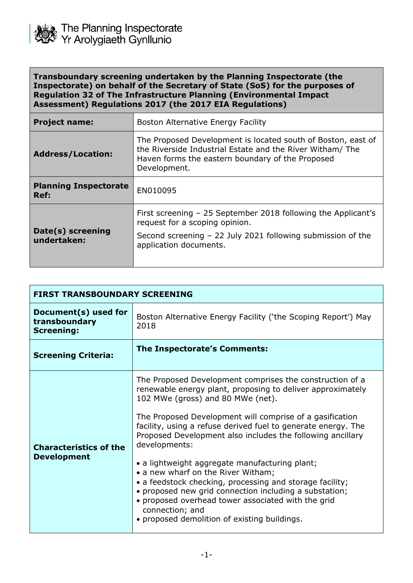

**Transboundary screening undertaken by the Planning Inspectorate (the Inspectorate) on behalf of the Secretary of State (SoS) for the purposes of Regulation 32 of The Infrastructure Planning (Environmental Impact Assessment) Regulations 2017 (the 2017 EIA Regulations)**

| <b>Boston Alternative Energy Facility</b>                                                                                                                                                     |
|-----------------------------------------------------------------------------------------------------------------------------------------------------------------------------------------------|
| The Proposed Development is located south of Boston, east of<br>the Riverside Industrial Estate and the River Witham/ The<br>Haven forms the eastern boundary of the Proposed<br>Development. |
| EN010095                                                                                                                                                                                      |
| First screening – 25 September 2018 following the Applicant's<br>request for a scoping opinion.<br>Second screening - 22 July 2021 following submission of the<br>application documents.      |
|                                                                                                                                                                                               |

| <b>FIRST TRANSBOUNDARY SCREENING</b>                       |                                                                                                                                                                                                                                                                                                                                                                                                                                                                                                                                                                                                                                                                                                                |  |
|------------------------------------------------------------|----------------------------------------------------------------------------------------------------------------------------------------------------------------------------------------------------------------------------------------------------------------------------------------------------------------------------------------------------------------------------------------------------------------------------------------------------------------------------------------------------------------------------------------------------------------------------------------------------------------------------------------------------------------------------------------------------------------|--|
| Document(s) used for<br>transboundary<br><b>Screening:</b> | Boston Alternative Energy Facility ('the Scoping Report') May<br>2018                                                                                                                                                                                                                                                                                                                                                                                                                                                                                                                                                                                                                                          |  |
| <b>Screening Criteria:</b>                                 | The Inspectorate's Comments:                                                                                                                                                                                                                                                                                                                                                                                                                                                                                                                                                                                                                                                                                   |  |
| <b>Characteristics of the</b><br><b>Development</b>        | The Proposed Development comprises the construction of a<br>renewable energy plant, proposing to deliver approximately<br>102 MWe (gross) and 80 MWe (net).<br>The Proposed Development will comprise of a gasification<br>facility, using a refuse derived fuel to generate energy. The<br>Proposed Development also includes the following ancillary<br>developments:<br>• a lightweight aggregate manufacturing plant;<br>• a new wharf on the River Witham;<br>• a feedstock checking, processing and storage facility;<br>• proposed new grid connection including a substation;<br>• proposed overhead tower associated with the grid<br>connection; and<br>• proposed demolition of existing buildings. |  |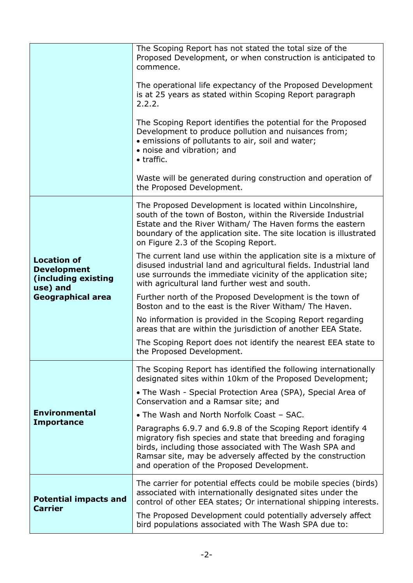|                                                                                                         | The Scoping Report has not stated the total size of the<br>Proposed Development, or when construction is anticipated to<br>commence.                                                                                                                                                               |
|---------------------------------------------------------------------------------------------------------|----------------------------------------------------------------------------------------------------------------------------------------------------------------------------------------------------------------------------------------------------------------------------------------------------|
|                                                                                                         | The operational life expectancy of the Proposed Development<br>is at 25 years as stated within Scoping Report paragraph<br>2.2.2.                                                                                                                                                                  |
|                                                                                                         | The Scoping Report identifies the potential for the Proposed<br>Development to produce pollution and nuisances from;<br>• emissions of pollutants to air, soil and water;<br>• noise and vibration; and<br>• traffic.                                                                              |
|                                                                                                         | Waste will be generated during construction and operation of<br>the Proposed Development.                                                                                                                                                                                                          |
| <b>Location of</b><br><b>Development</b><br>(including existing<br>use) and<br><b>Geographical area</b> | The Proposed Development is located within Lincolnshire,<br>south of the town of Boston, within the Riverside Industrial<br>Estate and the River Witham/ The Haven forms the eastern<br>boundary of the application site. The site location is illustrated<br>on Figure 2.3 of the Scoping Report. |
|                                                                                                         | The current land use within the application site is a mixture of<br>disused industrial land and agricultural fields. Industrial land<br>use surrounds the immediate vicinity of the application site;<br>with agricultural land further west and south.                                            |
|                                                                                                         | Further north of the Proposed Development is the town of<br>Boston and to the east is the River Witham/ The Haven.                                                                                                                                                                                 |
|                                                                                                         | No information is provided in the Scoping Report regarding<br>areas that are within the jurisdiction of another EEA State.                                                                                                                                                                         |
|                                                                                                         | The Scoping Report does not identify the nearest EEA state to<br>the Proposed Development.                                                                                                                                                                                                         |
|                                                                                                         | The Scoping Report has identified the following internationally<br>designated sites within 10km of the Proposed Development;                                                                                                                                                                       |
|                                                                                                         | • The Wash - Special Protection Area (SPA), Special Area of<br>Conservation and a Ramsar site; and                                                                                                                                                                                                 |
| <b>Environmental</b>                                                                                    | • The Wash and North Norfolk Coast - SAC.                                                                                                                                                                                                                                                          |
| <b>Importance</b>                                                                                       | Paragraphs 6.9.7 and 6.9.8 of the Scoping Report identify 4<br>migratory fish species and state that breeding and foraging<br>birds, including those associated with The Wash SPA and<br>Ramsar site, may be adversely affected by the construction<br>and operation of the Proposed Development.  |
| <b>Potential impacts and</b><br><b>Carrier</b>                                                          | The carrier for potential effects could be mobile species (birds)<br>associated with internationally designated sites under the<br>control of other EEA states; Or international shipping interests.                                                                                               |
|                                                                                                         | The Proposed Development could potentially adversely affect<br>bird populations associated with The Wash SPA due to:                                                                                                                                                                               |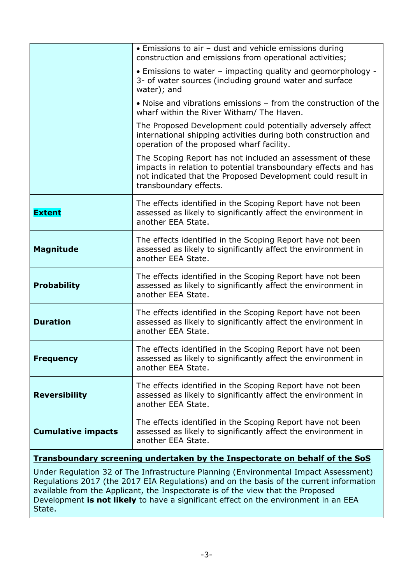|                           | • Emissions to air - dust and vehicle emissions during<br>construction and emissions from operational activities;                                                                                                     |
|---------------------------|-----------------------------------------------------------------------------------------------------------------------------------------------------------------------------------------------------------------------|
|                           | • Emissions to water – impacting quality and geomorphology -<br>3- of water sources (including ground water and surface<br>water); and                                                                                |
|                           | • Noise and vibrations emissions – from the construction of the<br>wharf within the River Witham/ The Haven.                                                                                                          |
|                           | The Proposed Development could potentially adversely affect<br>international shipping activities during both construction and<br>operation of the proposed wharf facility.                                            |
|                           | The Scoping Report has not included an assessment of these<br>impacts in relation to potential transboundary effects and has<br>not indicated that the Proposed Development could result in<br>transboundary effects. |
| <b>Extent</b>             | The effects identified in the Scoping Report have not been<br>assessed as likely to significantly affect the environment in<br>another EEA State.                                                                     |
| <b>Magnitude</b>          | The effects identified in the Scoping Report have not been<br>assessed as likely to significantly affect the environment in<br>another EEA State.                                                                     |
| <b>Probability</b>        | The effects identified in the Scoping Report have not been<br>assessed as likely to significantly affect the environment in<br>another EEA State.                                                                     |
| <b>Duration</b>           | The effects identified in the Scoping Report have not been<br>assessed as likely to significantly affect the environment in<br>another EEA State.                                                                     |
| <b>Frequency</b>          | The effects identified in the Scoping Report have not been<br>assessed as likely to significantly affect the environment in<br>another EEA State.                                                                     |
| <b>Reversibility</b>      | The effects identified in the Scoping Report have not been<br>assessed as likely to significantly affect the environment in<br>another EEA State.                                                                     |
| <b>Cumulative impacts</b> | The effects identified in the Scoping Report have not been<br>assessed as likely to significantly affect the environment in<br>another EEA State.                                                                     |
|                           |                                                                                                                                                                                                                       |

# **Transboundary screening undertaken by the Inspectorate on behalf of the SoS**

Under Regulation 32 of The Infrastructure Planning (Environmental Impact Assessment) Regulations 2017 (the 2017 EIA Regulations) and on the basis of the current information available from the Applicant, the Inspectorate is of the view that the Proposed Development **is not likely** to have a significant effect on the environment in an EEA State.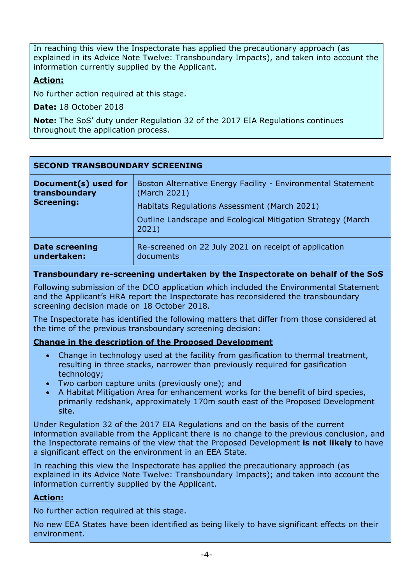In reaching this view the Inspectorate has applied the precautionary approach (as explained in its Advice Note Twelve: Transboundary Impacts), and taken into account the information currently supplied by the Applicant.

#### **Action:**

No further action required at this stage.

**Date:** 18 October 2018

**Note:** The SoS' duty under Regulation 32 of the 2017 EIA Regulations continues throughout the application process.

| <b>SECOND TRANSBOUNDARY SCREENING</b>                      |                                                                              |  |
|------------------------------------------------------------|------------------------------------------------------------------------------|--|
| Document(s) used for<br>transboundary<br><b>Screening:</b> | Boston Alternative Energy Facility - Environmental Statement<br>(March 2021) |  |
|                                                            | Habitats Regulations Assessment (March 2021)                                 |  |
|                                                            | Outline Landscape and Ecological Mitigation Strategy (March)<br>2021)        |  |
| <b>Date screening</b><br>undertaken:                       | Re-screened on 22 July 2021 on receipt of application<br>documents           |  |

# **Transboundary re-screening undertaken by the Inspectorate on behalf of the SoS**

Following submission of the DCO application which included the Environmental Statement and the Applicant's HRA report the Inspectorate has reconsidered the transboundary screening decision made on 18 October 2018.

The Inspectorate has identified the following matters that differ from those considered at the time of the previous transboundary screening decision:

# **Change in the description of the Proposed Development**

- Change in technology used at the facility from gasification to thermal treatment, resulting in three stacks, narrower than previously required for gasification technology;
- Two carbon capture units (previously one); and
- A Habitat Mitigation Area for enhancement works for the benefit of bird species, primarily redshank, approximately 170m south east of the Proposed Development site.

Under Regulation 32 of the 2017 EIA Regulations and on the basis of the current information available from the Applicant there is no change to the previous conclusion, and the Inspectorate remains of the view that the Proposed Development **is not likely** to have a significant effect on the environment in an EEA State.

In reaching this view the Inspectorate has applied the precautionary approach (as explained in its Advice Note Twelve: Transboundary Impacts); and taken into account the information currently supplied by the Applicant.

#### **Action:**

No further action required at this stage.

No new EEA States have been identified as being likely to have significant effects on their environment.